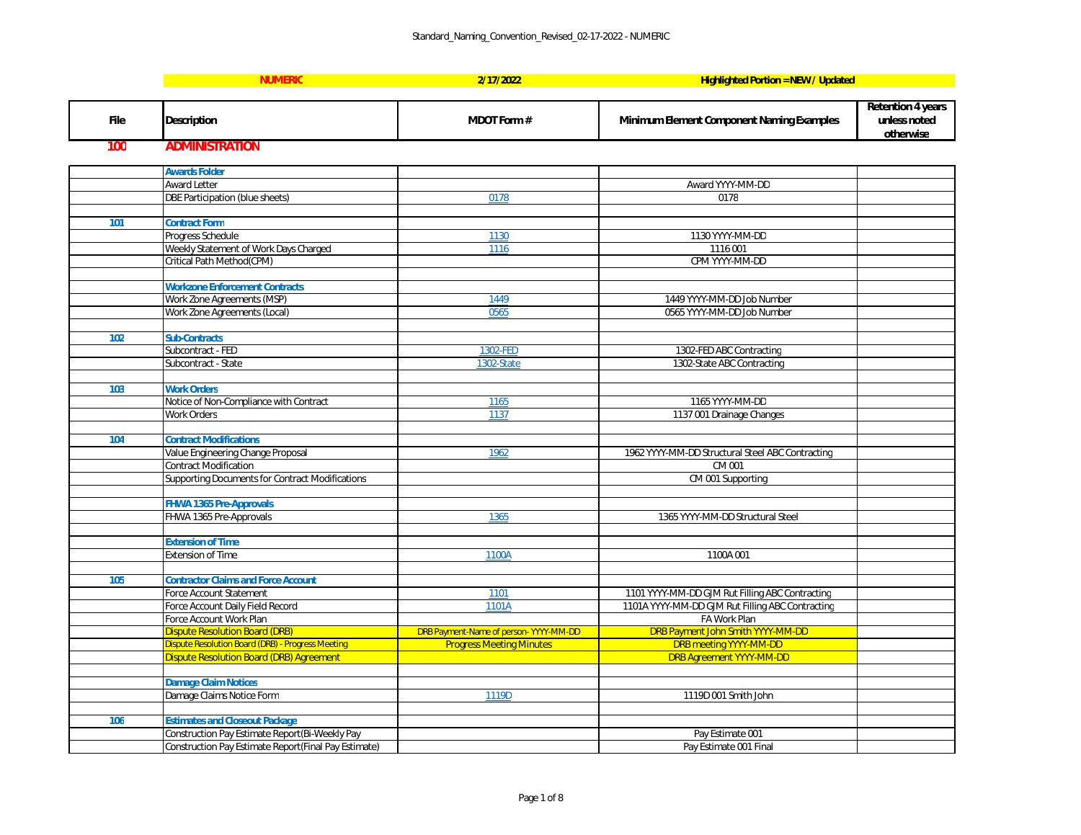**Retention 4 years unless noted otherwise**

| ntracting             |  |
|-----------------------|--|
|                       |  |
|                       |  |
|                       |  |
|                       |  |
|                       |  |
|                       |  |
|                       |  |
|                       |  |
|                       |  |
|                       |  |
|                       |  |
| tracting<br>ntracting |  |
|                       |  |
| $\overline{D}$        |  |
|                       |  |
|                       |  |
|                       |  |
|                       |  |
|                       |  |
|                       |  |
|                       |  |
|                       |  |
|                       |  |
|                       |  |
|                       |  |

|             | <b>NUMERIC</b>                                       | 2/17/2022                             | <b>Highlighted Portion = NEW / Updated</b>       |
|-------------|------------------------------------------------------|---------------------------------------|--------------------------------------------------|
|             |                                                      |                                       |                                                  |
| <b>File</b> | <b>Description</b>                                   | <b>MDOT Form#</b>                     | <b>Minimum Element Component Naming Examples</b> |
| 100         | <b>ADMINISTRATION</b>                                |                                       |                                                  |
|             | <b>Awards Folder</b>                                 |                                       |                                                  |
|             | <b>Award Letter</b>                                  |                                       | Award YYYY-MM-DD                                 |
|             | <b>DBE Participation (blue sheets)</b>               | 0178                                  | 0178                                             |
|             |                                                      |                                       |                                                  |
| 101         | <b>Contract Form</b>                                 |                                       |                                                  |
|             | Progress Schedule                                    | 1130                                  | 1130 YYYY-MM-DD                                  |
|             | Weekly Statement of Work Days Charged                | 1116                                  | 1116 001                                         |
|             | Critical Path Method(CPM)                            |                                       | CPM YYYY-MM-DD                                   |
|             |                                                      |                                       |                                                  |
|             | <b>Workzone Enforcement Contracts</b>                |                                       |                                                  |
|             | Work Zone Agreements (MSP)                           | 1449                                  | 1449 YYYY-MM-DD Job Number                       |
|             | Work Zone Agreements (Local)                         | 0565                                  | 0565 YYYY-MM-DD Job Number                       |
|             |                                                      |                                       |                                                  |
| 102         | <b>Sub-Contracts</b>                                 |                                       |                                                  |
|             | Subcontract - FED                                    | 1302-FED                              | 1302-FED ABC Contracting                         |
|             | Subcontract - State                                  | 1302-State                            | 1302-State ABC Contracting                       |
|             |                                                      |                                       |                                                  |
| 103         | <b>Work Orders</b>                                   |                                       |                                                  |
|             | Notice of Non-Compliance with Contract               | 1165                                  | 1165 YYYY-MM-DD                                  |
|             | <b>Work Orders</b>                                   | 1137                                  | 1137 001 Drainage Changes                        |
|             |                                                      |                                       |                                                  |
| 104         | <b>Contract Modifications</b>                        |                                       |                                                  |
|             | Value Engineering Change Proposal                    | 1962                                  | 1962 YYYY-MM-DD Structural Steel ABC Contracting |
|             | <b>Contract Modification</b>                         |                                       | CM 001                                           |
|             | Supporting Documents for Contract Modifications      |                                       | CM 001 Supporting                                |
|             |                                                      |                                       |                                                  |
|             | <b>FHWA 1365 Pre-Approvals</b>                       | 1365                                  | 1365 YYYY-MM-DD Structural Steel                 |
|             | FHWA 1365 Pre-Approvals                              |                                       |                                                  |
|             | <b>Extension of Time</b>                             |                                       |                                                  |
|             | <b>Extension of Time</b>                             | 1100A                                 | 1100A 001                                        |
|             |                                                      |                                       |                                                  |
| 105         | <b>Contractor Claims and Force Account</b>           |                                       |                                                  |
|             | <b>Force Account Statement</b>                       | 1101                                  | 1101 YYYY-MM-DD GJM Rut Filling ABC Contracting  |
|             | Force Account Daily Field Record                     | 1101A                                 | 1101A YYYY-MM-DD GJM Rut Filling ABC Contracting |
|             | Force Account Work Plan                              |                                       | FA Work Plan                                     |
|             | <b>Dispute Resolution Board (DRB)</b>                | DRB Payment-Name of person-YYYY-MM-DD | DRB Payment John Smith YYYY-MM-DD                |
|             | Dispute Resolution Board (DRB) - Progress Meeting    | <b>Progress Meeting Minutes</b>       | <b>DRB meeting YYYY-MM-DD</b>                    |
|             | <b>Dispute Resolution Board (DRB) Agreement</b>      |                                       | <b>DRB Agreement YYYY-MM-DD</b>                  |
|             |                                                      |                                       |                                                  |
|             | <b>Damage Claim Notices</b>                          |                                       |                                                  |
|             | Damage Claims Notice Form                            | 1119D                                 | 1119D 001 Smith John                             |
|             |                                                      |                                       |                                                  |
| 106         | <b>Estimates and Closeout Package</b>                |                                       |                                                  |
|             | Construction Pay Estimate Report(Bi-Weekly Pay       |                                       | Pay Estimate 001                                 |
|             | Construction Pay Estimate Report(Final Pay Estimate) |                                       | Pay Estimate 001 Final                           |

|  |  |  | <b>EW/Updated</b> |  |
|--|--|--|-------------------|--|
|  |  |  |                   |  |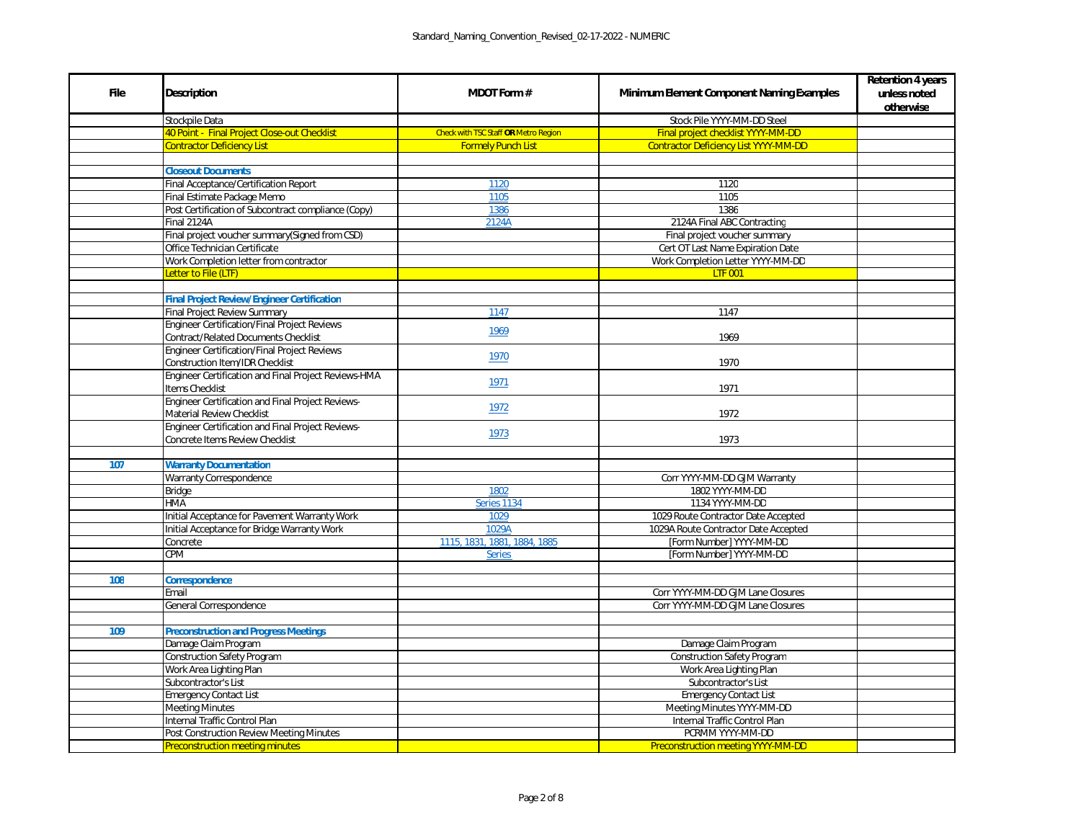|                         | <b>Retention 4 years</b> |  |  |
|-------------------------|--------------------------|--|--|
| <b>Examples</b>         | unless noted             |  |  |
|                         | otherwise                |  |  |
|                         |                          |  |  |
|                         |                          |  |  |
| $\overline{\mathsf{D}}$ |                          |  |  |
|                         |                          |  |  |
|                         |                          |  |  |
|                         |                          |  |  |
|                         |                          |  |  |
|                         |                          |  |  |
|                         |                          |  |  |
|                         |                          |  |  |
| D                       |                          |  |  |
|                         |                          |  |  |
|                         |                          |  |  |
|                         |                          |  |  |
|                         |                          |  |  |
|                         |                          |  |  |
|                         |                          |  |  |
|                         |                          |  |  |
|                         |                          |  |  |
|                         |                          |  |  |
|                         |                          |  |  |
|                         |                          |  |  |
|                         |                          |  |  |
|                         |                          |  |  |
|                         |                          |  |  |
|                         |                          |  |  |
|                         |                          |  |  |
| $\frac{d}{d}$           |                          |  |  |
|                         |                          |  |  |
|                         |                          |  |  |
|                         |                          |  |  |
|                         |                          |  |  |
|                         |                          |  |  |
| $rac{1}{s}$             |                          |  |  |
|                         |                          |  |  |
|                         |                          |  |  |
|                         |                          |  |  |
|                         |                          |  |  |
|                         |                          |  |  |
|                         |                          |  |  |
|                         |                          |  |  |
|                         |                          |  |  |
|                         |                          |  |  |
|                         |                          |  |  |
| $\overline{\mathsf{D}}$ |                          |  |  |

| <b>File</b> | <b>Description</b>                                                                 | <b>MDOT Form #</b>                          | <b>Minimum Element Component Naming Examples</b>            |
|-------------|------------------------------------------------------------------------------------|---------------------------------------------|-------------------------------------------------------------|
|             | Stockpile Data                                                                     |                                             | Stock Pile YYYY-MM-DD Steel                                 |
|             | 40 Point - Final Project Close-out Checklist                                       | <b>Check with TSC Staff OR Metro Region</b> | Final project checklist YYYY-MM-DD                          |
|             | <b>Contractor Deficiency List</b>                                                  | <b>Formely Punch List</b>                   | <b>Contractor Deficiency List YYYY-MM-DD</b>                |
|             |                                                                                    |                                             |                                                             |
|             | <b>Closeout Documents</b>                                                          |                                             |                                                             |
|             | <b>Final Acceptance/Certification Report</b>                                       | 1120                                        | 1120                                                        |
|             | Final Estimate Package Memo                                                        | 1105                                        | 1105                                                        |
|             | Post Certification of Subcontract compliance (Copy)                                | 1386                                        | 1386                                                        |
|             | Final 2124A                                                                        | 2124A                                       | 2124A Final ABC Contracting                                 |
|             | Final project voucher summary(Signed from CSD)                                     |                                             | Final project voucher summary                               |
|             | Office Technician Certificate                                                      |                                             | Cert OT Last Name Expiration Date                           |
|             | Work Completion letter from contractor                                             |                                             | Work Completion Letter YYYY-MM-DD                           |
|             | Letter to File (LTF)                                                               |                                             | <b>LTF 001</b>                                              |
|             |                                                                                    |                                             |                                                             |
|             | <b>Final Project Review/Engineer Certification</b>                                 |                                             |                                                             |
|             | <b>Final Project Review Summary</b>                                                | 1147                                        | 1147                                                        |
|             | <b>Engineer Certification/Final Project Reviews</b>                                | 1969                                        |                                                             |
|             | <b>Contract/Related Documents Checklist</b>                                        |                                             | 1969                                                        |
|             | <b>Engineer Certification/Final Project Reviews</b>                                | 1970                                        |                                                             |
|             | <b>Construction Item/IDR Checklist</b>                                             |                                             | 1970                                                        |
|             | Engineer Certification and Final Project Reviews-HMA<br>Items Checklist            | 1971                                        | 1971                                                        |
|             | <b>Engineer Certification and Final Project Reviews-</b>                           |                                             |                                                             |
|             | <b>Material Review Checklist</b>                                                   | 1972                                        | 1972                                                        |
|             | Engineer Certification and Final Project Reviews-                                  |                                             |                                                             |
|             | <b>Concrete Items Review Checklist</b>                                             | 1973                                        | 1973                                                        |
|             |                                                                                    |                                             |                                                             |
| 107         | <b>Warranty Documentation</b>                                                      |                                             |                                                             |
|             | <b>Warranty Correspondence</b>                                                     |                                             | Corr YYYY-MM-DD GJM Warranty                                |
|             | <b>Bridge</b>                                                                      | 1802                                        | 1802 YYYY-MM-DD                                             |
|             | <b>HMA</b>                                                                         | Series 1134                                 | 1134 YYYY-MM-DD                                             |
|             | Initial Acceptance for Pavement Warranty Work                                      | 1029                                        | 1029 Route Contractor Date Accepted                         |
|             | Initial Acceptance for Bridge Warranty Work                                        | 1029A                                       | 1029A Route Contractor Date Accepted                        |
|             | Concrete                                                                           | 1115, 1831, 1881, 1884, 1885                | [Form Number] YYYY-MM-DD                                    |
|             | <b>CPM</b>                                                                         | <b>Series</b>                               | [Form Number] YYYY-MM-DD                                    |
|             |                                                                                    |                                             |                                                             |
| 108         | <b>Correspondence</b>                                                              |                                             |                                                             |
|             | Email                                                                              |                                             | Corr YYYY-MM-DD GJM Lane Closures                           |
|             | General Correspondence                                                             |                                             | Corr YYYY-MM-DD GJM Lane Closures                           |
|             |                                                                                    |                                             |                                                             |
| 109         | <b>Preconstruction and Progress Meetings</b>                                       |                                             |                                                             |
|             | Damage Claim Program                                                               |                                             | Damage Claim Program                                        |
|             | <b>Construction Safety Program</b>                                                 |                                             | <b>Construction Safety Program</b>                          |
|             | Work Area Lighting Plan                                                            |                                             | Work Area Lighting Plan                                     |
|             | Subcontractor's List                                                               |                                             | Subcontractor's List                                        |
|             | <b>Emergency Contact List</b>                                                      |                                             | <b>Emergency Contact List</b>                               |
|             | <b>Meeting Minutes</b><br>Internal Traffic Control Plan                            |                                             | Meeting Minutes YYYY-MM-DD<br>Internal Traffic Control Plan |
|             |                                                                                    |                                             | PCRMM YYYY-MM-DD                                            |
|             | Post Construction Review Meeting Minutes<br><b>Preconstruction meeting minutes</b> |                                             |                                                             |
|             |                                                                                    |                                             | <b>Preconstruction meeting YYYY-MM-DD</b>                   |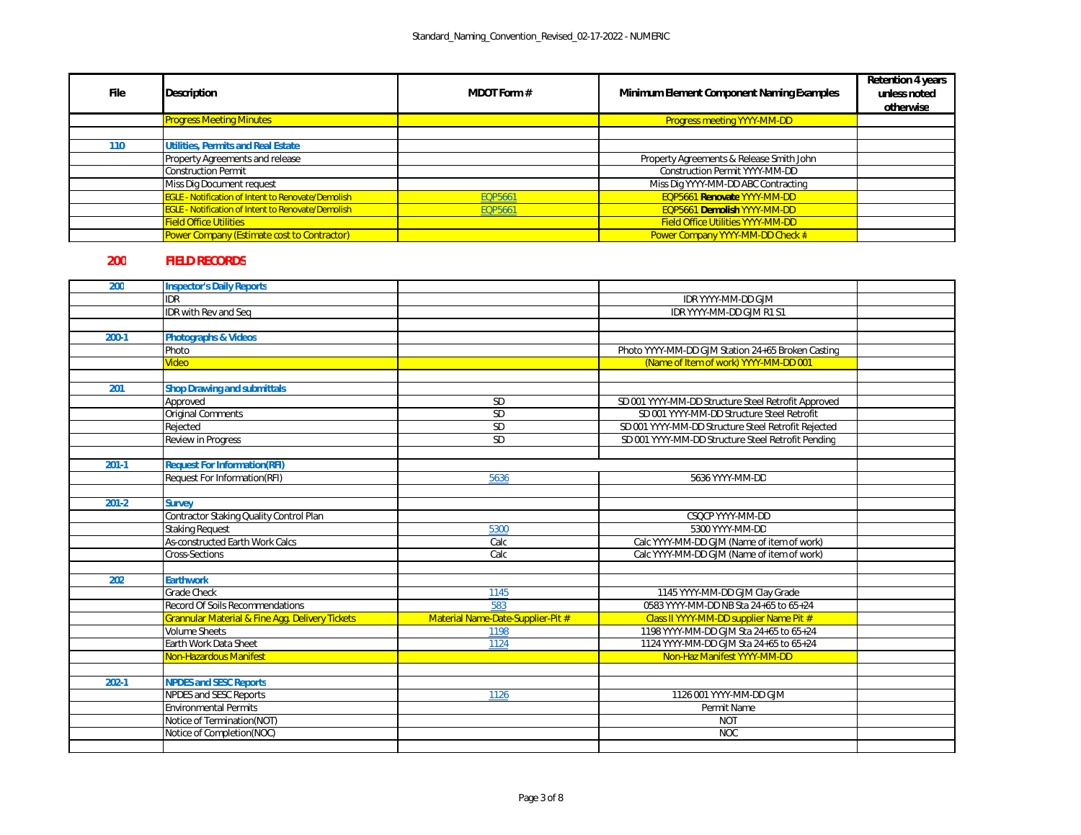| <b>File</b> | <b>Description</b>                                        | <b>MDOT Form #</b> | <b>Minimum Element Component Naming Examples</b> | <b>Retention 4 years</b><br>unless noted<br>otherwise |
|-------------|-----------------------------------------------------------|--------------------|--------------------------------------------------|-------------------------------------------------------|
|             | <b>Progress Meeting Minutes</b>                           |                    | <b>Progress meeting YYYY-MM-DD</b>               |                                                       |
|             |                                                           |                    |                                                  |                                                       |
| 110         | <b>Utilities, Permits and Real Estate</b>                 |                    |                                                  |                                                       |
|             | <b>Property Agreements and release</b>                    |                    | Property Agreements & Release Smith John         |                                                       |
|             | Construction Permit                                       |                    | <b>Construction Permit YYYY-MM-DD</b>            |                                                       |
|             | Miss Dig Document request                                 |                    | Miss Dig YYYY-MM-DD ABC Contracting              |                                                       |
|             | <b>EGLE - Notification of Intent to Renovate/Demolish</b> | EQP5661            | EQP5661 Renovate YYYY-MM-DD                      |                                                       |
|             | <b>EGLE - Notification of Intent to Renovate/Demolish</b> | <b>EQP5661</b>     | EQP5661 Demolish YYYY-MM-DD                      |                                                       |
|             | <b>Field Office Utilities</b>                             |                    | <b>Field Office Utilities YYYY-MM-DD</b>         |                                                       |
|             | Power Company (Estimate cost to Contractor)               |                    | Power Company YYYY-MM-DD Check #                 |                                                       |

## **200 FIELD RECORDS**

| 200       | <b>Inspector's Daily Reports</b>                           |                                   |                                                     |  |
|-----------|------------------------------------------------------------|-----------------------------------|-----------------------------------------------------|--|
|           | <b>IDR</b>                                                 |                                   | IDR YYYY-MM-DD GJM                                  |  |
|           | <b>IDR</b> with Rev and Seq                                |                                   | IDR YYYY-MM-DD GJM R1 S1                            |  |
|           |                                                            |                                   |                                                     |  |
| $200-1$   | <b>Photographs &amp; Videos</b>                            |                                   |                                                     |  |
|           | Photo                                                      |                                   | Photo YYYY-MM-DD GJM Station 24+65 Broken Casting   |  |
|           | <b>Video</b>                                               |                                   | (Name of Item of work) YYYY-MM-DD 001               |  |
|           |                                                            |                                   |                                                     |  |
| 201       | <b>Shop Drawing and submittals</b>                         |                                   |                                                     |  |
|           | Approved                                                   | SD                                | SD 001 YYYY-MM-DD Structure Steel Retrofit Approved |  |
|           | Original Comments                                          | SD                                | SD 001 YYYY-MM-DD Structure Steel Retrofit          |  |
|           | Rejected                                                   | SD                                | SD 001 YYYY-MM-DD Structure Steel Retrofit Rejected |  |
|           | <b>Review in Progress</b>                                  | SD                                | SD 001 YYYY-MM-DD Structure Steel Retrofit Pending  |  |
|           |                                                            |                                   |                                                     |  |
| $201-1$   | <b>Request For Information(RFI)</b>                        |                                   |                                                     |  |
|           | <b>Request For Information(RFI)</b>                        | 5636                              | 5636 YYYY-MM-DD                                     |  |
|           |                                                            |                                   |                                                     |  |
| $201 - 2$ | <b>Survey</b>                                              |                                   |                                                     |  |
|           | Contractor Staking Quality Control Plan                    |                                   | CSQCP YYYY-MM-DD                                    |  |
|           | <b>Staking Request</b>                                     | 5300                              | 5300 YYYY-MM-DD                                     |  |
|           | <b>As-constructed Earth Work Calcs</b>                     | Calc                              | Calc YYYY-MM-DD GJM (Name of item of work)          |  |
|           | <b>Cross-Sections</b>                                      | Calc                              | Calc YYYY-MM-DD GJM (Name of item of work)          |  |
|           |                                                            |                                   |                                                     |  |
| 202       | <b>Earthwork</b>                                           |                                   |                                                     |  |
|           | <b>Grade Check</b>                                         | 1145                              | 1145 YYYY-MM-DD GJM Clay Grade                      |  |
|           | <b>Record Of Soils Recommendations</b>                     | 583                               | 0583 YYYY-MM-DD NB Sta 24+65 to 65+24               |  |
|           | <b>Grannular Material &amp; Fine Agg. Delivery Tickets</b> | Material Name-Date-Supplier-Pit # | Class II YYYY-MM-DD supplier Name Pit #             |  |
|           | <b>Volume Sheets</b>                                       | 1198                              | 1198 YYYY-MM-DD GJM Sta 24+65 to 65+24              |  |
|           | Earth Work Data Sheet                                      | 1124                              | 1124 YYYY-MM-DD GJM Sta 24+65 to 65+24              |  |
|           | Non-Hazardous Manifest                                     |                                   | Non-Haz Manifest YYYY-MM-DD                         |  |
|           |                                                            |                                   |                                                     |  |
| $202 - 1$ | <b>NPDES and SESC Reports</b>                              |                                   |                                                     |  |
|           | <b>NPDES and SESC Reports</b>                              | 1126                              | 1126 001 YYYY-MM-DD GJM                             |  |
|           | <b>Environmental Permits</b>                               |                                   | Permit Name                                         |  |
|           | Notice of Termination(NOT)                                 |                                   | <b>NOT</b>                                          |  |
|           | Notice of Completion(NOC)                                  |                                   | <b>NOC</b>                                          |  |
|           |                                                            |                                   |                                                     |  |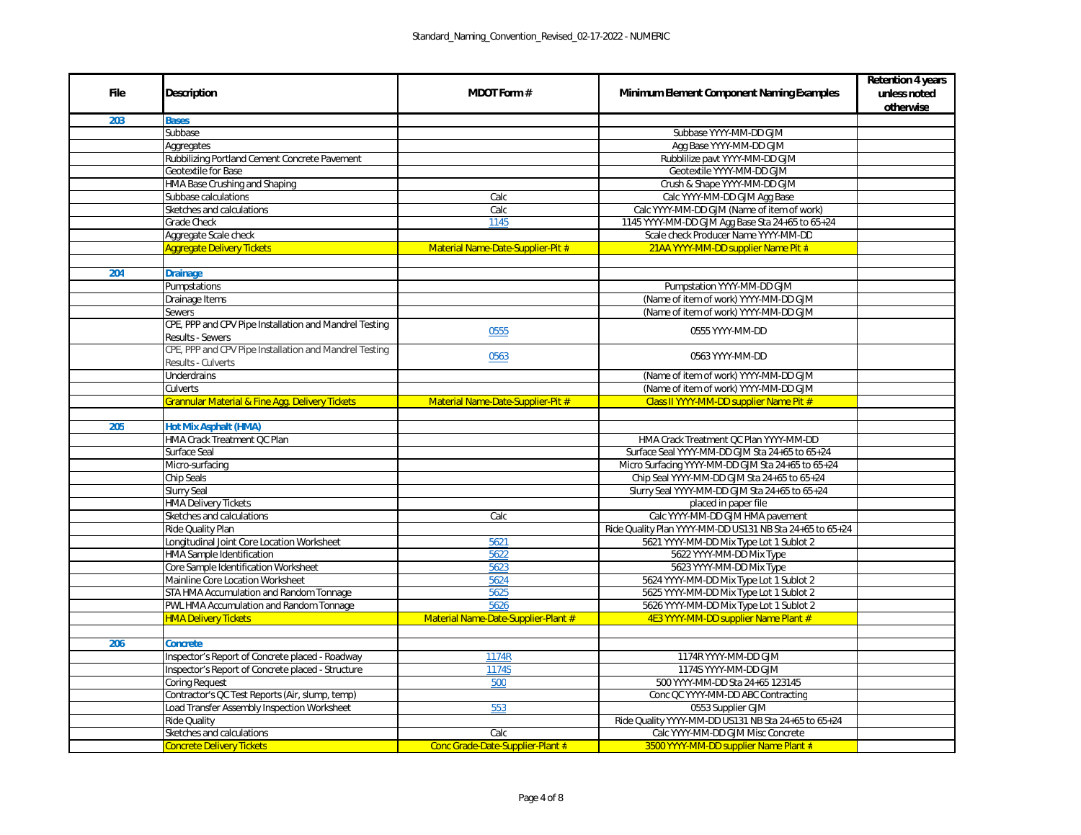|                                    | <b>Retention 4 years</b> |
|------------------------------------|--------------------------|
| <b>xamples</b>                     | unless noted             |
|                                    | otherwise                |
|                                    |                          |
|                                    |                          |
|                                    |                          |
|                                    |                          |
|                                    |                          |
|                                    |                          |
|                                    |                          |
| work)                              |                          |
| to 65+24                           |                          |
| $\overline{DD}$                    |                          |
| #                                  |                          |
|                                    |                          |
|                                    |                          |
|                                    |                          |
| $\overline{\mathsf{MM}}$           |                          |
| $\overline{\mathsf{ML}}$           |                          |
|                                    |                          |
|                                    |                          |
|                                    |                          |
|                                    |                          |
| Ml                                 |                          |
| Ml                                 |                          |
| t#                                 |                          |
|                                    |                          |
|                                    |                          |
| 1-D <u>D</u>                       |                          |
| $0.65 + 24$                        |                          |
| to $65 + 24$                       |                          |
| $65 + 24$                          |                          |
| $65 + 24$                          |                          |
|                                    |                          |
| nt                                 |                          |
| $+65$ to $65+24$                   |                          |
| $\overline{\text{ot }2}$           |                          |
|                                    |                          |
|                                    |                          |
| ot 2                               |                          |
| $\frac{1}{2}$                      |                          |
| ot 2                               |                          |
| $t \neq$                           |                          |
|                                    |                          |
|                                    |                          |
|                                    |                          |
|                                    |                          |
|                                    |                          |
| <u>າg</u>                          |                          |
|                                    |                          |
| $5$ to $65+24$                     |                          |
| $\overline{e}$                     |                          |
| $\overline{\mathfrak{n}^{\sharp}}$ |                          |

| <b>File</b> | <b>Description</b>                                                                  | <b>MDOT Form #</b>                  | <b>Minimum Element Component Naming Examples</b>         |
|-------------|-------------------------------------------------------------------------------------|-------------------------------------|----------------------------------------------------------|
| 203         | <b>Bases</b>                                                                        |                                     |                                                          |
|             | Subbase                                                                             |                                     | Subbase YYYY-MM-DD GJM                                   |
|             | Aggregates                                                                          |                                     | Agg Base YYYY-MM-DD GJM                                  |
|             | Rubbilizing Portland Cement Concrete Pavement                                       |                                     | Rubblilize pavt YYYY-MM-DD GJM                           |
|             | <b>Geotextile for Base</b>                                                          |                                     | Geotextile YYYY-MM-DD GJM                                |
|             | HMA Base Crushing and Shaping                                                       |                                     | Crush & Shape YYYY-MM-DD GJM                             |
|             | Subbase calculations                                                                | Calc                                | Calc YYYY-MM-DD GJM Agg Base                             |
|             | Sketches and calculations                                                           | Calc                                | Calc YYYY-MM-DD GJM (Name of item of work)               |
|             | <b>Grade Check</b>                                                                  | 1145                                | 1145 YYYY-MM-DD GJM Agg Base Sta 24+65 to 65+24          |
|             | Aggregate Scale check                                                               |                                     | Scale check Producer Name YYYY-MM-DD                     |
|             | <b>Aggregate Delivery Tickets</b>                                                   | Material Name-Date-Supplier-Pit #   | 21AA YYYY-MM-DD supplier Name Pit #                      |
|             |                                                                                     |                                     |                                                          |
| 204         | <b>Drainage</b>                                                                     |                                     |                                                          |
|             | Pumpstations                                                                        |                                     | Pumpstation YYYY-MM-DD GJM                               |
|             | Drainage Items                                                                      |                                     | (Name of item of work) YYYY-MM-DD GJM                    |
|             | <b>Sewers</b>                                                                       |                                     | (Name of item of work) YYYY-MM-DD GJM                    |
|             | CPE, PPP and CPV Pipe Installation and Mandrel Testing                              | 0555                                | 0555 YYYY-MM-DD                                          |
|             | <b>Results - Sewers</b>                                                             |                                     |                                                          |
|             | CPE, PPP and CPV Pipe Installation and Mandrel Testing<br><b>Results - Culverts</b> | 0563                                | 0563 YYYY-MM-DD                                          |
|             | <b>Underdrains</b>                                                                  |                                     | (Name of item of work) YYYY-MM-DD GJM                    |
|             | <b>Culverts</b>                                                                     |                                     | (Name of item of work) YYYY-MM-DD GJM                    |
|             | Grannular Material & Fine Agg. Delivery Tickets                                     | Material Name-Date-Supplier-Pit #   | Class II YYYY-MM-DD supplier Name Pit #                  |
|             |                                                                                     |                                     |                                                          |
| 205         | <b>Hot Mix Asphalt (HMA)</b>                                                        |                                     |                                                          |
|             | <b>HMA Crack Treatment QC Plan</b>                                                  |                                     | HMA Crack Treatment QC Plan YYYY-MM-DD                   |
|             | Surface Seal                                                                        |                                     | Surface Seal YYYY-MM-DD GJM Sta 24+65 to 65+24           |
|             | Micro-surfacing                                                                     |                                     | Micro Surfacing YYYY-MM-DD GJM Sta 24+65 to 65+24        |
|             | Chip Seals                                                                          |                                     | Chip Seal YYYY-MM-DD GJM Sta 24+65 to 65+24              |
|             | <b>Slurry Seal</b>                                                                  |                                     | Slurry Seal YYYY-MM-DD GJM Sta 24+65 to 65+24            |
|             | <b>HMA Delivery Tickets</b>                                                         |                                     | placed in paper file                                     |
|             | Sketches and calculations                                                           | Calc                                | Calc YYYY-MM-DD GJM HMA pavement                         |
|             | <b>Ride Quality Plan</b>                                                            |                                     | Ride Quality Plan YYYY-MM-DD US131 NB Sta 24+65 to 65+24 |
|             | Longitudinal Joint Core Location Worksheet                                          | 5621                                | 5621 YYYY-MM-DD Mix Type Lot 1 Sublot 2                  |
|             | <b>HMA Sample Identification</b>                                                    | 5622                                | 5622 YYYY-MM-DD Mix Type                                 |
|             | Core Sample Identification Worksheet                                                | 5623                                | 5623 YYYY-MM-DD Mix Type                                 |
|             | <b>Mainline Core Location Worksheet</b>                                             | 5624                                | 5624 YYYY-MM-DD Mix Type Lot 1 Sublot 2                  |
|             | STA HMA Accumulation and Random Tonnage                                             | 5625                                | 5625 YYYY-MM-DD Mix Type Lot 1 Sublot 2                  |
|             | PWL HMA Accumulation and Random Tonnage                                             | 5626                                | 5626 YYYY-MM-DD Mix Type Lot 1 Sublot 2                  |
|             | <b>HMA Delivery Tickets</b>                                                         | Material Name-Date-Supplier-Plant # | 4E3 YYYY-MM-DD supplier Name Plant #                     |
|             |                                                                                     |                                     |                                                          |
| 206         | <b>Concrete</b>                                                                     |                                     |                                                          |
|             | Inspector's Report of Concrete placed - Roadway                                     | 1174R                               | 1174R YYYY-MM-DD GJM                                     |
|             | Inspector's Report of Concrete placed - Structure                                   | 1174S                               | 1174S YYYY-MM-DD GJM                                     |
|             | <b>Coring Request</b>                                                               | 500                                 | 500 YYYY-MM-DD Sta 24+65 123145                          |
|             | Contractor's QC Test Reports (Air, slump, temp)                                     |                                     | Conc QC YYYY-MM-DD ABC Contracting                       |
|             | Load Transfer Assembly Inspection Worksheet                                         | 553                                 | 0553 Supplier GJM                                        |
|             | <b>Ride Quality</b>                                                                 |                                     | Ride Quality YYYY-MM-DD US131 NB Sta 24+65 to 65+24      |
|             | Sketches and calculations                                                           | Calc                                | Calc YYYY-MM-DD GJM Misc Concrete                        |
|             | <b>Concrete Delivery Tickets</b>                                                    | Conc Grade-Date-Supplier-Plant #    | 3500 YYYY-MM-DD supplier Name Plant #                    |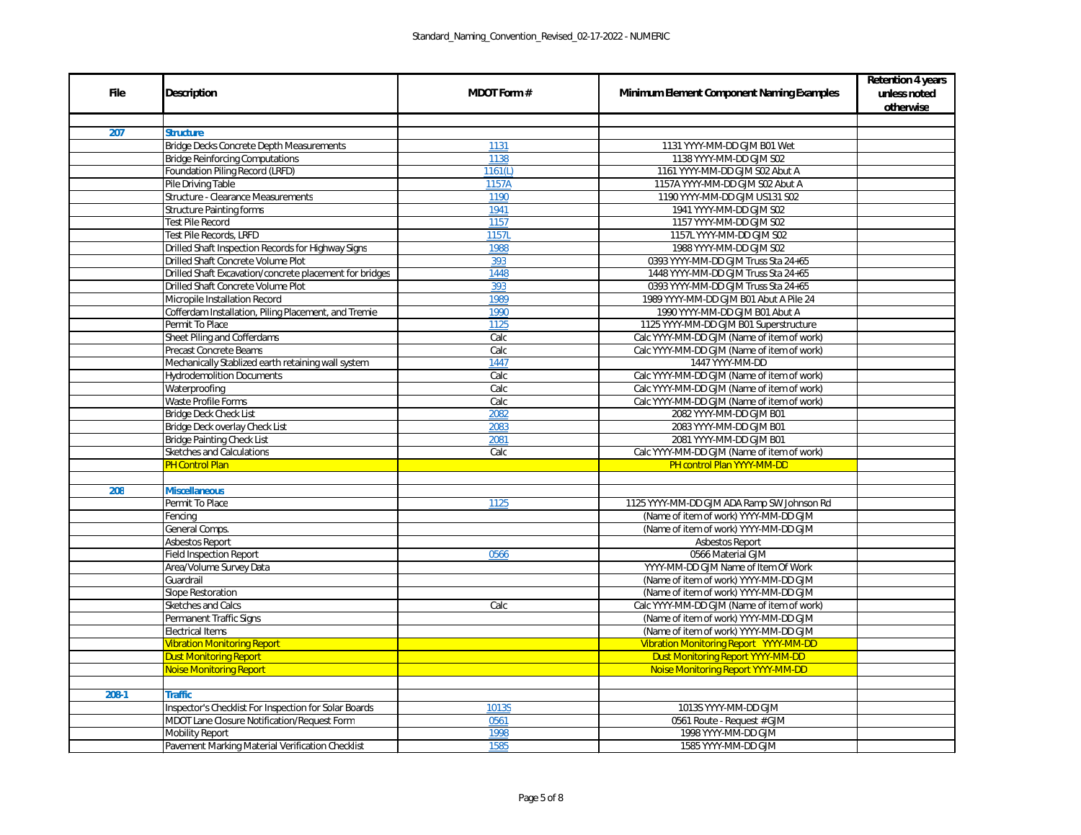|             |                                                         |                    |                                                   | <b>Retention 4 years</b>  |
|-------------|---------------------------------------------------------|--------------------|---------------------------------------------------|---------------------------|
| <b>File</b> | <b>Description</b>                                      | <b>MDOT Form #</b> | <b>Minimum Element Component Naming Examples</b>  | unless noted<br>otherwise |
|             |                                                         |                    |                                                   |                           |
| 207         | <b>Structure</b>                                        |                    |                                                   |                           |
|             | <b>Bridge Decks Concrete Depth Measurements</b>         | 1131               | 1131 YYYY-MM-DD GJM B01 Wet                       |                           |
|             | <b>Bridge Reinforcing Computations</b>                  | 1138               | 1138 YYYY-MM-DD GJM S02                           |                           |
|             | <b>Foundation Piling Record (LRFD)</b>                  | 1161(L)            | 1161 YYYY-MM-DD GJM S02 Abut A                    |                           |
|             | Pile Driving Table                                      | 1157A              | 1157A YYYY-MM-DD GJM S02 Abut A                   |                           |
|             | <b>Structure - Clearance Measurements</b>               | 1190               | 1190 YYYY-MM-DD GJM US131 S02                     |                           |
|             | <b>Structure Painting forms</b>                         | 1941               | 1941 YYYY-MM-DD GJM S02                           |                           |
|             | <b>Test Pile Record</b>                                 | 1157               | 1157 YYYY-MM-DD GJM S02                           |                           |
|             | <b>Test Pile Records, LRFD</b>                          | 1157L              | 1157L YYYY-MM-DD GJM S02                          |                           |
|             | Drilled Shaft Inspection Records for Highway Signs      | 1988               | 1988 YYYY-MM-DD GJM S02                           |                           |
|             | <b>Drilled Shaft Concrete Volume Plot</b>               | 393                | 0393 YYYY-MM-DD GJM Truss Sta 24+65               |                           |
|             | Drilled Shaft Excavation/concrete placement for bridges | 1448               | 1448 YYYY-MM-DD GJM Truss Sta 24+65               |                           |
|             | Drilled Shaft Concrete Volume Plot                      | 393                | 0393 YYYY-MM-DD GJM Truss Sta 24+65               |                           |
|             | Micropile Installation Record                           | 1989               | 1989 YYYY-MM-DD GJM B01 Abut A Pile 24            |                           |
|             | Cofferdam Installation, Piling Placement, and Tremie    | 1990               | 1990 YYYY-MM-DD GJM B01 Abut A                    |                           |
|             | Permit To Place                                         | 1125               | 1125 YYYY-MM-DD GJM B01 Superstructure            |                           |
|             | Sheet Piling and Cofferdams                             | Calc               | Calc YYYY-MM-DD GJM (Name of item of work)        |                           |
|             | <b>Precast Concrete Beams</b>                           | Calc               | Calc YYYY-MM-DD GJM (Name of item of work)        |                           |
|             | Mechanically Stablized earth retaining wall system      | 1447               | 1447 YYYY-MM-DD                                   |                           |
|             | <b>Hydrodemolition Documents</b>                        | Calc               | Calc YYYY-MM-DD GJM (Name of item of work)        |                           |
|             | Waterproofing                                           | Calc               | Calc YYYY-MM-DD GJM (Name of item of work)        |                           |
|             | Waste Profile Forms                                     | Calc               | Calc YYYY-MM-DD GJM (Name of item of work)        |                           |
|             | <b>Bridge Deck Check List</b>                           | 2082               | 2082 YYYY-MM-DD GJM B01                           |                           |
|             | Bridge Deck overlay Check List                          | 2083               | 2083 YYYY-MM-DD GJM B01                           |                           |
|             | <b>Bridge Painting Check List</b>                       | 2081               | 2081 YYYY-MM-DD GJM B01                           |                           |
|             | <b>Sketches and Calculations</b>                        | Calc               | Calc YYYY-MM-DD GJM (Name of item of work)        |                           |
|             | <b>PH Control Plan</b>                                  |                    | PH control Plan YYYY-MM-DD                        |                           |
|             |                                                         |                    |                                                   |                           |
| 208         | <b>Miscellaneous</b>                                    |                    |                                                   |                           |
|             | Permit To Place                                         | 1125               | 1125 YYYY-MM-DD GJM ADA Ramp SW Johnson Rd        |                           |
|             | Fencing                                                 |                    | (Name of item of work) YYYY-MM-DD GJM             |                           |
|             | General Comps.                                          |                    | (Name of item of work) YYYY-MM-DD GJM             |                           |
|             | <b>Asbestos Report</b>                                  |                    | <b>Asbestos Report</b>                            |                           |
|             | <b>Field Inspection Report</b>                          | 0566               | 0566 Material GJM                                 |                           |
|             | Area/Volume Survey Data                                 |                    | YYYY-MM-DD GJM Name of Item Of Work               |                           |
|             | Guardrail                                               |                    | (Name of item of work) YYYY-MM-DD GJM             |                           |
|             | <b>Slope Restoration</b>                                |                    | (Name of item of work) YYYY-MM-DD GJM             |                           |
|             | <b>Sketches and Calcs</b>                               | Calc               | Calc YYYY-MM-DD GJM (Name of item of work)        |                           |
|             | <b>Permanent Traffic Signs</b>                          |                    | (Name of item of work) YYYY-MM-DD GJM             |                           |
|             | <b>Electrical Items</b>                                 |                    | (Name of item of work) YYYY-MM-DD GJM             |                           |
|             | <b>Vibration Monitoring Report</b>                      |                    | <b>Vibration Monitoring Report YYYY-MM-DD</b>     |                           |
|             | <b>Dust Monitoring Report</b>                           |                    | <b>Dust Monitoring Report YYYY-MM-DD</b>          |                           |
|             | <b>Noise Monitoring Report</b>                          |                    | Noise Monitoring Report YYYY-MM-DD                |                           |
|             |                                                         |                    |                                                   |                           |
| $208-1$     | <b>Traffic</b>                                          |                    |                                                   |                           |
|             | Inspector's Checklist For Inspection for Solar Boards   | 1013S              | 1013S YYYY-MM-DD GJM                              |                           |
|             | MDOT Lane Closure Notification/Request Form             | 0561               | 0561 Route - Request # GJM<br>1998 YYYY-MM-DD GJM |                           |
|             | <b>Mobility Report</b>                                  | 1998               |                                                   |                           |
|             | <b>Pavement Marking Material Verification Checklist</b> | 1585               | 1585 YYYY-MM-DD GJM                               |                           |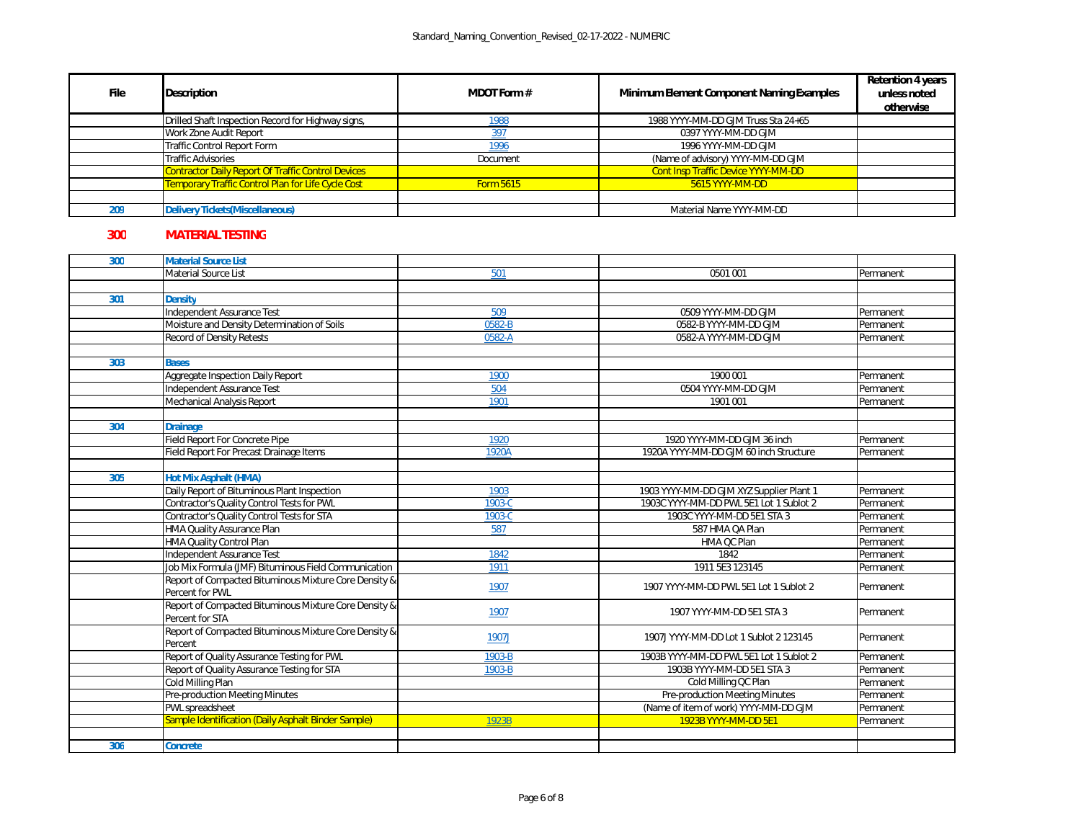| <b>File</b> | <b>Description</b>                                        | <b>MDOT Form #</b> | <b>Minimum Element Component Naming Examples</b> | <b>Retention 4 years</b><br>unless noted<br>otherwise |
|-------------|-----------------------------------------------------------|--------------------|--------------------------------------------------|-------------------------------------------------------|
|             | Drilled Shaft Inspection Record for Highway signs,        | <u> 1988</u>       | 1988 YYYY-MM-DD GJM Truss Sta 24+65              |                                                       |
|             | <b>Work Zone Audit Report</b>                             | <u>397</u>         | 0397 YYYY-MM-DD GJM                              |                                                       |
|             | Traffic Control Report Form                               | 1996               | 1996 YYYY-MM-DD GJM                              |                                                       |
|             | Traffic Advisories                                        | Document           | (Name of advisory) YYYY-MM-DD GJM                |                                                       |
|             | <b>Contractor Daily Report Of Traffic Control Devices</b> |                    | <b>Cont Insp Traffic Device YYYY-MM-DD</b>       |                                                       |
|             | Temporary Traffic Control Plan for Life Cycle Cost        | <b>Form 5615</b>   | 5615 YYYY-MM-DD                                  |                                                       |
|             |                                                           |                    |                                                  |                                                       |
| 209         | <b>Delivery Tickets (Miscellaneous)</b>                   |                    | Material Name YYYY-MM-DD                         |                                                       |

## **300 MATERIAL TESTING**

| 300 | <b>Material Source List</b>                           |        |                                          |           |
|-----|-------------------------------------------------------|--------|------------------------------------------|-----------|
|     | <b>Material Source List</b>                           | 501    | 0501 001                                 | Permanent |
|     |                                                       |        |                                          |           |
| 301 | <b>Density</b>                                        |        |                                          |           |
|     | Independent Assurance Test                            | 509    | 0509 YYYY-MM-DD GJM                      | Permanent |
|     | Moisture and Density Determination of Soils           | 0582-B | 0582-B YYYY-MM-DD GJM                    | Permanent |
|     | <b>Record of Density Retests</b>                      | 0582-A | 0582-A YYYY-MM-DD GJM                    | Permanent |
|     |                                                       |        |                                          |           |
| 303 | <b>Bases</b>                                          |        |                                          |           |
|     | Aggregate Inspection Daily Report                     | 1900   | 1900 001                                 | Permanent |
|     | Independent Assurance Test                            | 504    | 0504 YYYY-MM-DD GJM                      | Permanent |
|     | Mechanical Analysis Report                            | 1901   | 1901 001                                 | Permanent |
|     |                                                       |        |                                          |           |
| 304 | <b>Drainage</b>                                       |        |                                          |           |
|     | <b>Field Report For Concrete Pipe</b>                 | 1920   | 1920 YYYY-MM-DD GJM 36 inch              | Permanent |
|     | Field Report For Precast Drainage Items               | 1920A  | 1920A YYYY-MM-DD GJM 60 inch Structure   | Permanent |
|     |                                                       |        |                                          |           |
| 305 | <b>Hot Mix Asphalt (HMA)</b>                          |        |                                          |           |
|     | Daily Report of Bituminous Plant Inspection           | 1903   | 1903 YYYY-MM-DD GJM XYZ Supplier Plant 1 | Permanent |
|     | Contractor's Quality Control Tests for PWL            | 1903-C | 1903C YYYY-MM-DD PWL 5E1 Lot 1 Sublot 2  | Permanent |
|     | Contractor's Quality Control Tests for STA            | 1903-C | 1903C YYYY-MM-DD 5E1 STA 3               | Permanent |
|     | HMA Quality Assurance Plan                            | 587    | 587 HMA QA Plan                          | Permanent |
|     | HMA Quality Control Plan                              |        | HMA QC Plan                              | Permanent |
|     | Independent Assurance Test                            | 1842   | 1842                                     | Permanent |
|     | Job Mix Formula (JMF) Bituminous Field Communication  | 1911   | 1911 5E3 123145                          | Permanent |
|     | Report of Compacted Bituminous Mixture Core Density & | 1907   | 1907 YYYY-MM-DD PWL 5E1 Lot 1 Sublot 2   | Permanent |
|     | Percent for PWL                                       |        |                                          |           |
|     | Report of Compacted Bituminous Mixture Core Density & | 1907   | 1907 YYYY-MM-DD 5E1 STA 3                | Permanent |
|     | Percent for STA                                       |        |                                          |           |
|     | Report of Compacted Bituminous Mixture Core Density & | 1907J  | 1907J YYYY-MM-DD Lot 1 Sublot 2 123145   | Permanent |
|     | Percent                                               |        |                                          |           |
|     | <b>Report of Quality Assurance Testing for PWL</b>    | 1903-B | 1903B YYYY-MM-DD PWL 5E1 Lot 1 Sublot 2  | Permanent |
|     | Report of Quality Assurance Testing for STA           | 1903-B | 1903B YYYY-MM-DD 5E1 STA 3               | Permanent |
|     | Cold Milling Plan                                     |        | Cold Milling QC Plan                     | Permanent |
|     | <b>Pre-production Meeting Minutes</b>                 |        | <b>Pre-production Meeting Minutes</b>    | Permanent |
|     | PWL spreadsheet                                       |        | (Name of item of work) YYYY-MM-DD GJM    | Permanent |
|     | Sample Identification (Daily Asphalt Binder Sample)   | 1923B  | 1923B YYYY-MM-DD 5E1                     | Permanent |
|     |                                                       |        |                                          |           |
| 306 | <b>Concrete</b>                                       |        |                                          |           |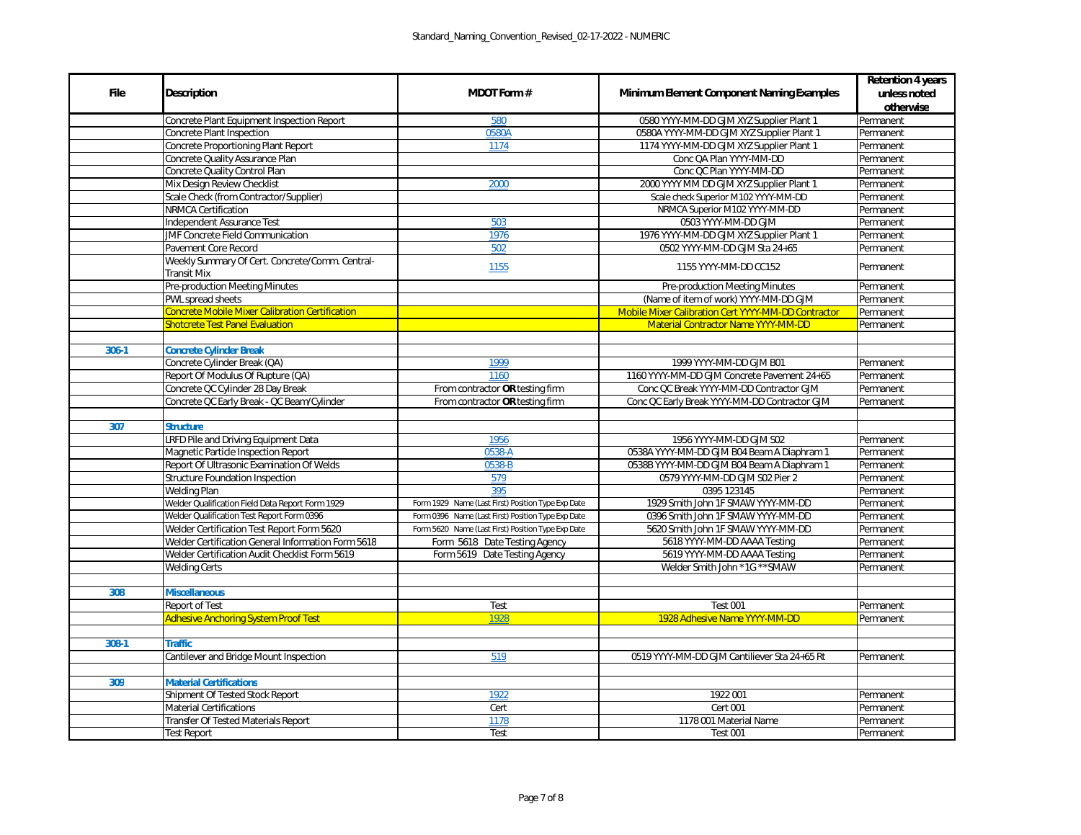|             | <b>Description</b>                                                    | <b>MDOT Form#</b>                                  | <b>Minimum Element Component Naming Examples</b>    | <b>Retention 4 years</b> |
|-------------|-----------------------------------------------------------------------|----------------------------------------------------|-----------------------------------------------------|--------------------------|
| <b>File</b> |                                                                       |                                                    |                                                     | unless noted             |
|             |                                                                       |                                                    |                                                     | otherwise                |
|             | Concrete Plant Equipment Inspection Report                            | 580                                                | 0580 YYYY-MM-DD GJM XYZ Supplier Plant 1            | Permanent                |
|             | Concrete Plant Inspection                                             | 0580A                                              | 0580A YYYY-MM-DD GJM XYZ Supplier Plant 1           | Permanent                |
|             | Concrete Proportioning Plant Report                                   | 1174                                               | 1174 YYYY-MM-DD GJM XYZ Supplier Plant 1            | Permanent                |
|             | Concrete Quality Assurance Plan                                       |                                                    | Conc QA Plan YYYY-MM-DD                             | Permanent                |
|             | Concrete Quality Control Plan                                         |                                                    | Conc QC Plan YYYY-MM-DD                             | Permanent                |
|             | Mix Design Review Checklist                                           | 2000                                               | 2000 YYYY MM DD GJM XYZ Supplier Plant 1            | Permanent                |
|             | Scale Check (from Contractor/Supplier)                                |                                                    | Scale check Superior M102 YYYY-MM-DD                | Permanent                |
|             | <b>NRMCA Certification</b>                                            |                                                    | NRMCA Superior M102 YYYY-MM-DD                      | Permanent                |
|             | Independent Assurance Test                                            | 503                                                | 0503 YYYY-MM-DD GJM                                 | Permanent                |
|             | <b>JMF Concrete Field Communication</b>                               | 1976                                               | 1976 YYYY-MM-DD GJM XYZ Supplier Plant 1            | Permanent                |
|             | Pavement Core Record                                                  | 502                                                | 0502 YYYY-MM-DD GJM Sta 24+65                       | Permanent                |
|             | Weekly Summary Of Cert. Concrete/Comm. Central-<br><b>Transit Mix</b> | 1155                                               | 1155 YYYY-MM-DD CC152                               | Permanent                |
|             | <b>Pre-production Meeting Minutes</b>                                 |                                                    | Pre-production Meeting Minutes                      | Permanent                |
|             | PWL spread sheets                                                     |                                                    | (Name of item of work) YYYY-MM-DD GJM               | Permanent                |
|             | <b>Concrete Mobile Mixer Calibration Certification</b>                |                                                    | Mobile Mixer Calibration Cert YYYY-MM-DD Contractor |                          |
|             | <b>Shotcrete Test Panel Evaluation</b>                                |                                                    | <b>Material Contractor Name YYYY-MM-DD</b>          | Permanent<br>Permanent   |
|             |                                                                       |                                                    |                                                     |                          |
| $306 - 1$   | <b>Concrete Cylinder Break</b>                                        |                                                    |                                                     |                          |
|             | Concrete Cylinder Break (QA)                                          | 1999                                               | 1999 YYYY-MM-DD GJM B01                             | Permanent                |
|             | Report Of Modulus Of Rupture (QA)                                     | 1160                                               | 1160 YYYY-MM-DD GJM Concrete Pavement 24+65         | Permanent                |
|             | Concrete QC Cylinder 28 Day Break                                     | From contractor OR testing firm                    | Conc QC Break YYYY-MM-DD Contractor GJM             | Permanent                |
|             | Concrete QC Early Break - QC Beam/Cylinder                            | From contractor OR testing firm                    | Conc QC Early Break YYYY-MM-DD Contractor GJM       | Permanent                |
|             |                                                                       |                                                    |                                                     |                          |
| 307         | <b>Structure</b>                                                      |                                                    |                                                     |                          |
|             | LRFD Pile and Driving Equipment Data                                  | 1956                                               | 1956 YYYY-MM-DD GJM S02                             | Permanent                |
|             | Magnetic Particle Inspection Report                                   | 0538-A                                             | 0538A YYYY-MM-DD GJM B04 Beam A Diaphram 1          | Permanent                |
|             | Report Of Ultrasonic Examination Of Welds                             | 0538-B                                             | 0538B YYYY-MM-DD GJM B04 Beam A Diaphram 1          | Permanent                |
|             | Structure Foundation Inspection                                       | 579                                                | 0579 YYYY-MM-DD GJM S02 Pier 2                      | Permanent                |
|             | <b>Welding Plan</b>                                                   | 395                                                | 0395 123145                                         | Permanent                |
|             | Welder Qualification Field Data Report Form 1929                      | Form 1929 Name (Last First) Position Type Exp Date | 1929 Smith John 1F SMAW YYYY-MM-DD                  | Permanent                |
|             | Welder Qualification Test Report Form 0396                            | Form 0396 Name (Last First) Position Type Exp Date | 0396 Smith John 1F SMAW YYYY-MM-DD                  | Permanent                |
|             | Welder Certification Test Report Form 5620                            | Form 5620 Name (Last First) Position Type Exp Date | 5620 Smith John 1F SMAW YYYY-MM-DD                  | Permanent                |
|             | Welder Certification General Information Form 5618                    | Form 5618 Date Testing Agency                      | 5618 YYYY-MM-DD AAAA Testing                        | Permanent                |
|             | Welder Certification Audit Checklist Form 5619                        | Form 5619 Date Testing Agency                      | 5619 YYYY-MM-DD AAAA Testing                        | Permanent                |
|             | <b>Welding Certs</b>                                                  |                                                    | Welder Smith John *1G ** SMAW                       | Permanent                |
|             |                                                                       |                                                    |                                                     |                          |
| 308         | <b>Miscellaneous</b>                                                  |                                                    |                                                     |                          |
|             | Report of Test                                                        | Test                                               | <b>Test 001</b>                                     | Permanent                |
|             | <b>Adhesive Anchoring System Proof Test</b>                           | 1928                                               | 1928 Adhesive Name YYYY-MM-DD                       | Permanent                |
|             |                                                                       |                                                    |                                                     |                          |
| 308-1       | <b>Traffic</b>                                                        |                                                    |                                                     |                          |
|             | Cantilever and Bridge Mount Inspection                                | 519                                                | 0519 YYYY-MM-DD GJM Cantiliever Sta 24+65 Rt        | Permanent                |
|             |                                                                       |                                                    |                                                     |                          |
| 309         | <b>Material Certifications</b>                                        |                                                    |                                                     |                          |
|             | Shipment Of Tested Stock Report                                       | 1922                                               | 1922 001                                            | Permanent                |
|             | <b>Material Certifications</b>                                        | Cert                                               | <b>Cert 001</b>                                     | Permanent                |
|             | <b>Transfer Of Tested Materials Report</b>                            | 1178                                               | 1178 001 Material Name                              | Permanent                |
|             | <b>Test Report</b>                                                    | Test                                               | <b>Test 001</b>                                     | Permanent                |
|             |                                                                       |                                                    |                                                     |                          |